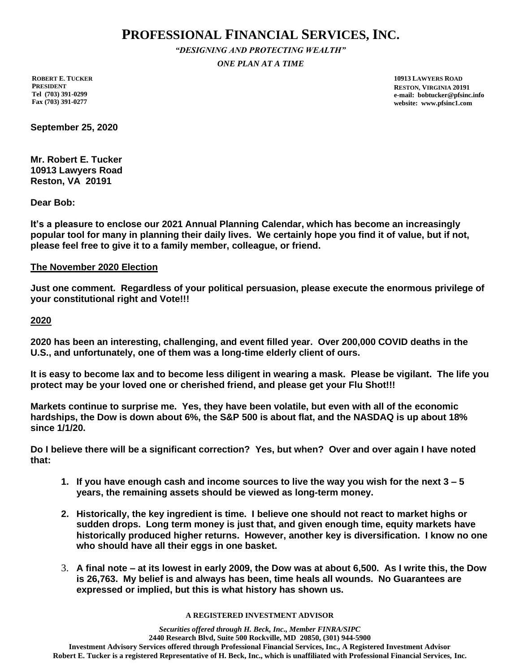# **PROFESSIONAL FINANCIAL SERVICES, INC.**

*"DESIGNING AND PROTECTING WEALTH" ONE PLAN AT A TIME*

**ROBERT E. TUCKER PRESIDENT Tel (703) 391-0299 Fax (703) 391-0277**

**10913 LAWYERS ROAD RESTON, VIRGINIA 20191 e-mail: bobtucker@pfsinc.info website: www.pfsinc1.com**

**September 25, 2020**

**Mr. Robert E. Tucker 10913 Lawyers Road Reston, VA 20191**

**Dear Bob:**

**It's a pleasure to enclose our 2021 Annual Planning Calendar, which has become an increasingly popular tool for many in planning their daily lives. We certainly hope you find it of value, but if not, please feel free to give it to a family member, colleague, or friend.**

### **The November 2020 Election**

**Just one comment. Regardless of your political persuasion, please execute the enormous privilege of your constitutional right and Vote!!!**

**2020**

**2020 has been an interesting, challenging, and event filled year. Over 200,000 COVID deaths in the U.S., and unfortunately, one of them was a long-time elderly client of ours.**

**It is easy to become lax and to become less diligent in wearing a mask. Please be vigilant. The life you protect may be your loved one or cherished friend, and please get your Flu Shot!!!**

**Markets continue to surprise me. Yes, they have been volatile, but even with all of the economic hardships, the Dow is down about 6%, the S&P 500 is about flat, and the NASDAQ is up about 18% since 1/1/20.**

**Do I believe there will be a significant correction? Yes, but when? Over and over again I have noted that:**

- **1. If you have enough cash and income sources to live the way you wish for the next 3 – 5 years, the remaining assets should be viewed as long-term money.**
- **2. Historically, the key ingredient is time. I believe one should not react to market highs or sudden drops. Long term money is just that, and given enough time, equity markets have historically produced higher returns. However, another key is diversification. I know no one who should have all their eggs in one basket.**
- 3. **A final note – at its lowest in early 2009, the Dow was at about 6,500. As I write this, the Dow is 26,763. My belief is and always has been, time heals all wounds. No Guarantees are expressed or implied, but this is what history has shown us.**

#### **A REGISTERED INVESTMENT ADVISOR**